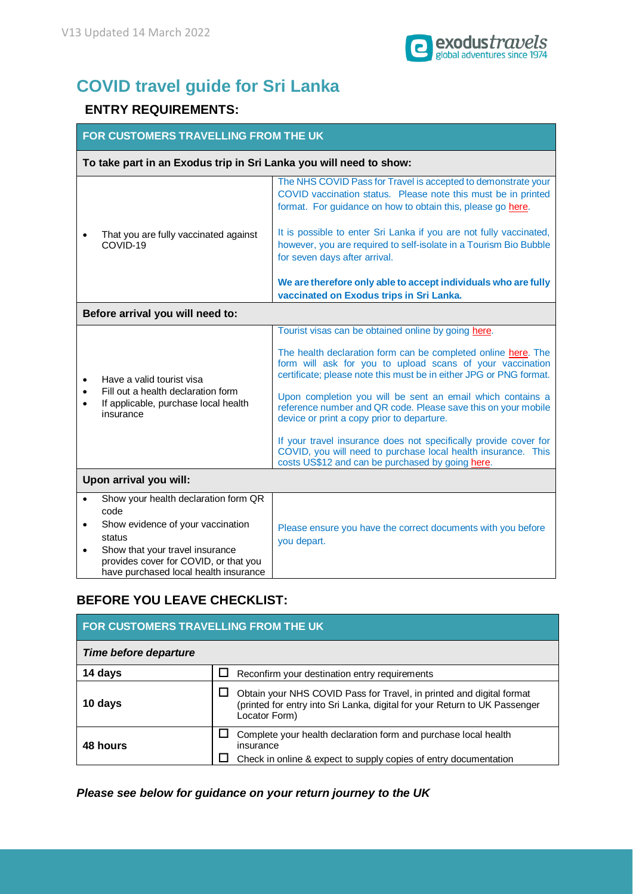

## **COVID travel guide for Sri Lanka**

## **ENTRY REQUIREMENTS:**

| FOR CUSTOMERS TRAVELLING FROM THE UK                                                                                                                                                                                                                    |                                                                                                                                                                                                                                                                                                                                                                                                                                                                                                                                                                                                                               |  |  |  |
|---------------------------------------------------------------------------------------------------------------------------------------------------------------------------------------------------------------------------------------------------------|-------------------------------------------------------------------------------------------------------------------------------------------------------------------------------------------------------------------------------------------------------------------------------------------------------------------------------------------------------------------------------------------------------------------------------------------------------------------------------------------------------------------------------------------------------------------------------------------------------------------------------|--|--|--|
| To take part in an Exodus trip in Sri Lanka you will need to show:                                                                                                                                                                                      |                                                                                                                                                                                                                                                                                                                                                                                                                                                                                                                                                                                                                               |  |  |  |
|                                                                                                                                                                                                                                                         | The NHS COVID Pass for Travel is accepted to demonstrate your<br>COVID vaccination status. Please note this must be in printed<br>format. For guidance on how to obtain this, please go here.                                                                                                                                                                                                                                                                                                                                                                                                                                 |  |  |  |
| That you are fully vaccinated against<br>COVID-19                                                                                                                                                                                                       | It is possible to enter Sri Lanka if you are not fully vaccinated,<br>however, you are required to self-isolate in a Tourism Bio Bubble<br>for seven days after arrival.                                                                                                                                                                                                                                                                                                                                                                                                                                                      |  |  |  |
|                                                                                                                                                                                                                                                         | We are therefore only able to accept individuals who are fully<br>vaccinated on Exodus trips in Sri Lanka.                                                                                                                                                                                                                                                                                                                                                                                                                                                                                                                    |  |  |  |
| Before arrival you will need to:                                                                                                                                                                                                                        |                                                                                                                                                                                                                                                                                                                                                                                                                                                                                                                                                                                                                               |  |  |  |
| Have a valid tourist visa<br>$\bullet$<br>Fill out a health declaration form<br>$\bullet$<br>If applicable, purchase local health<br>$\bullet$<br>insurance                                                                                             | Tourist visas can be obtained online by going here.<br>The health declaration form can be completed online here. The<br>form will ask for you to upload scans of your vaccination<br>certificate; please note this must be in either JPG or PNG format.<br>Upon completion you will be sent an email which contains a<br>reference number and QR code. Please save this on your mobile<br>device or print a copy prior to departure.<br>If your travel insurance does not specifically provide cover for<br>COVID, you will need to purchase local health insurance. This<br>costs US\$12 and can be purchased by going here. |  |  |  |
| Upon arrival you will:                                                                                                                                                                                                                                  |                                                                                                                                                                                                                                                                                                                                                                                                                                                                                                                                                                                                                               |  |  |  |
| Show your health declaration form QR<br>$\bullet$<br>code<br>Show evidence of your vaccination<br>$\bullet$<br>status<br>Show that your travel insurance<br>$\bullet$<br>provides cover for COVID, or that you<br>have purchased local health insurance | Please ensure you have the correct documents with you before<br>you depart.                                                                                                                                                                                                                                                                                                                                                                                                                                                                                                                                                   |  |  |  |

## **BEFORE YOU LEAVE CHECKLIST:**

| FOR CUSTOMERS TRAVELLING FROM THE UK |                                                                                                                                                                     |  |
|--------------------------------------|---------------------------------------------------------------------------------------------------------------------------------------------------------------------|--|
| Time before departure                |                                                                                                                                                                     |  |
| 14 days                              | Reconfirm your destination entry requirements                                                                                                                       |  |
| 10 days                              | Obtain your NHS COVID Pass for Travel, in printed and digital format<br>(printed for entry into Sri Lanka, digital for your Return to UK Passenger<br>Locator Form) |  |
| 48 hours                             | Complete your health declaration form and purchase local health<br>insurance<br>Check in online & expect to supply copies of entry documentation                    |  |

*Please see below for guidance on your return journey to the UK*